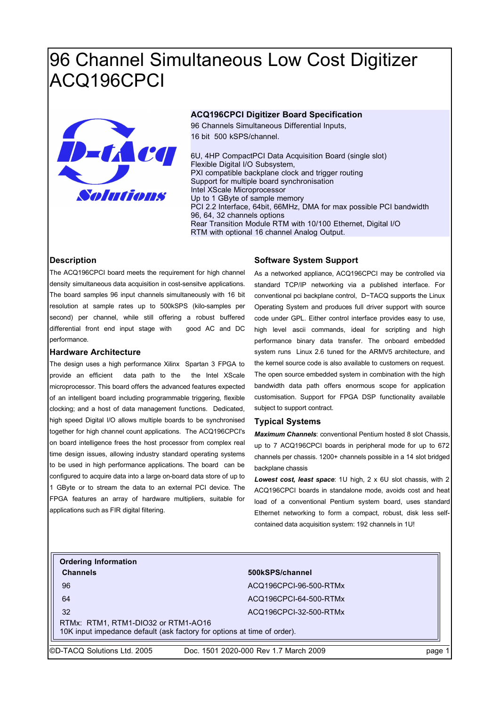# 96 Channel Simultaneous Low Cost Digitizer ACQ196CPCI



## **ACQ196CPCI Digitizer Board Specification**

96 Channels Simultaneous Differential Inputs, 16 bit 500 kSPS/channel.

6U, 4HP CompactPCI Data Acquisition Board (single slot) Flexible Digital I/O Subsystem, PXI compatible backplane clock and trigger routing Support for multiple board synchronisation Intel XScale Microprocessor Up to 1 GByte of sample memory PCI 2.2 Interface, 64bit, 66MHz, DMA for max possible PCI bandwidth 96, 64, 32 channels options Rear Transition Module RTM with 10/100 Ethernet, Digital I/O RTM with optional 16 channel Analog Output.

# **Description**

The ACQ196CPCI board meets the requirement for high channel density simultaneous data acquisition in cost-sensitve applications. The board samples 96 input channels simultaneously with 16 bit resolution at sample rates up to 500kSPS (kilo-samples per second) per channel, while still offering a robust buffered differential front end input stage with good AC and DC performance.

#### **Hardware Architecture**

The design uses a high performance Xilinx Spartan 3 FPGA to provide an efficient data path to the the Intel XScale microprocessor. This board offers the advanced features expected of an intelligent board including programmable triggering, flexible clocking; and a host of data management functions. Dedicated, high speed Digital I/O allows multiple boards to be synchronised together for high channel count applications. The ACQ196CPCI's on board intelligence frees the host processor from complex real time design issues, allowing industry standard operating systems to be used in high performance applications. The board can be configured to acquire data into a large on-board data store of up to 1 GByte or to stream the data to an external PCI device. The FPGA features an array of hardware multipliers, suitable for applications such as FIR digital filtering.

# **Software System Support**

As a networked appliance, ACQ196CPCI may be controlled via standard TCP/IP networking via a published interface. For conventional pci backplane control, D−TACQ supports the Linux Operating System and produces full driver support with source code under GPL. Either control interface provides easy to use, high level ascii commands, ideal for scripting and high performance binary data transfer. The onboard embedded system runs Linux 2.6 tuned for the ARMV5 architecture, and the kernel source code is also available to customers on request. The open source embedded system in combination with the high bandwidth data path offers enormous scope for application customisation. Support for FPGA DSP functionality available subject to support contract.

#### **Typical Systems**

*Maximum Channels*: conventional Pentium hosted 8 slot Chassis, up to 7 ACQ196CPCI boards in peripheral mode for up to 672 channels per chassis. 1200+ channels possible in a 14 slot bridged backplane chassis

*Lowest cost, least space*: 1U high, 2 x 6U slot chassis, with 2 ACQ196CPCI boards in standalone mode, avoids cost and heat load of a conventional Pentium system board, uses standard Ethernet networking to form a compact, robust, disk less selfcontained data acquisition system: 192 channels in 1U!

# **Ordering Information Channels 500kSPS/channel**

96 ACQ196CPCI-96-500-RTMx 64 ACQ196CPCI-64-500-RTMx 32 ACQ196CPCI-32-500-RTMx RTMx: RTM1, RTM1-DIO32 or RTM1-AO16

10K input impedance default (ask factory for options at time of order).

©D-TACQ Solutions Ltd. 2005 Doc. 1501 2020-000 Rev 1.7 March 2009 page 1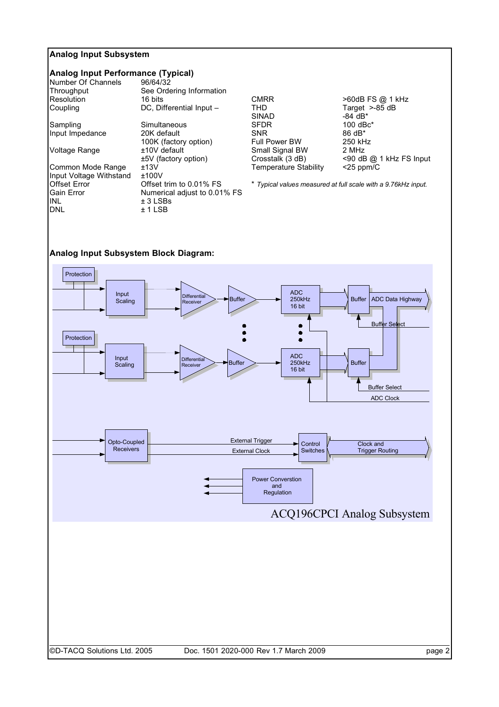# **Analog Input Subsystem**

# **Analog Input Performance (Typical)**

| 96/64/32                     |
|------------------------------|
| See Ordering Information     |
| 16 bits                      |
| DC, Differential Input -     |
| Simultaneous                 |
| 20K default                  |
| 100K (factory option)        |
| ±10V default                 |
| $±5V$ (factory option)       |
| ±13V                         |
| ±100V                        |
| Offset trim to 0.01% FS      |
| Numerical adjust to 0.01% FS |
| $± 3$ LSBs                   |
| ± 1 LSB                      |
|                              |

CMRR
CMRR
560dB FS @ 1 kHz
THD
560dB FS @ 1 kHz
THD
560dB FS & dB
560dB
560dB
560dB
560dB
560dB
560dB
560dB
560dB
560dB
560dB
560dB
560dB
560dB
560dB
560dB
560dB
560dB
560dB
560dB
560dB
560dB
560dB
560dB
560dB
560dB
560dB THD<br>
The Target >-85 dB<br>
SINAD -84 dB\* SINAD -84 dB\*<br>SFDR 100 dBc SFDR 100 dBc\*<br>
SNR 86 dB\* Full Power BW Small Signal BW 2 MHz<br>Crosstalk (3 dB) <90 dE Temperature Stability <25 ppm/C

 $86$  dB\*<br>250 kHz <90 dB @ 1 kHz FS Input

\* *Typical values measured at full scale with a 9.76kHz input.*

# **Analog Input Subsystem Block Diagram:**

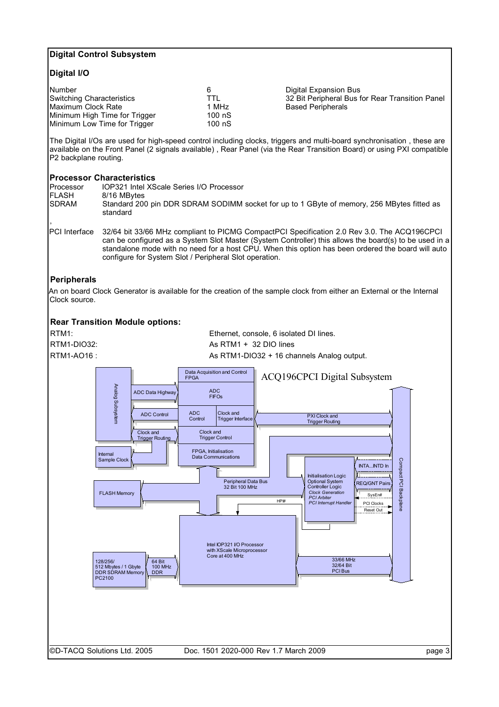